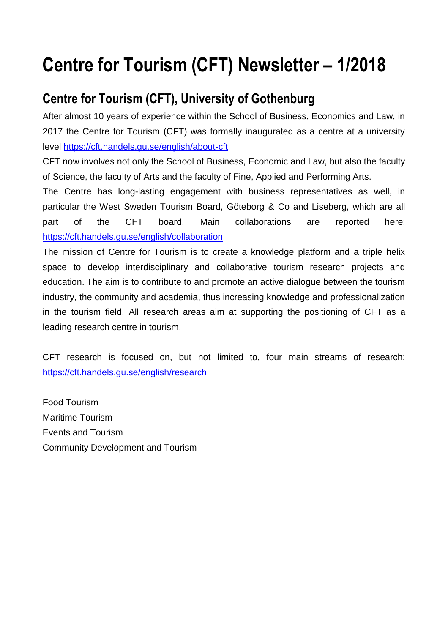# **Centre for Tourism (CFT) Newsletter – 1/2018**

### **Centre for Tourism (CFT), University of Gothenburg**

After almost 10 years of experience within the School of Business, Economics and Law, in 2017 the Centre for Tourism (CFT) was formally inaugurated as a centre at a university level<https://cft.handels.gu.se/english/about-cft>

CFT now involves not only the School of Business, Economic and Law, but also the faculty of Science, the faculty of Arts and the faculty of Fine, Applied and Performing Arts.

The Centre has long-lasting engagement with business representatives as well, in particular the West Sweden Tourism Board, Göteborg & Co and Liseberg, which are all part of the CFT board. Main collaborations are reported here: <https://cft.handels.gu.se/english/collaboration>

The mission of Centre for Tourism is to create a knowledge platform and a triple helix space to develop interdisciplinary and collaborative tourism research projects and education. The aim is to contribute to and promote an active dialogue between the tourism industry, the community and academia, thus increasing knowledge and professionalization in the tourism field. All research areas aim at supporting the positioning of CFT as a leading research centre in tourism.

CFT research is focused on, but not limited to, four main streams of research: <https://cft.handels.gu.se/english/research>

Food Tourism Maritime Tourism Events and Tourism Community Development and Tourism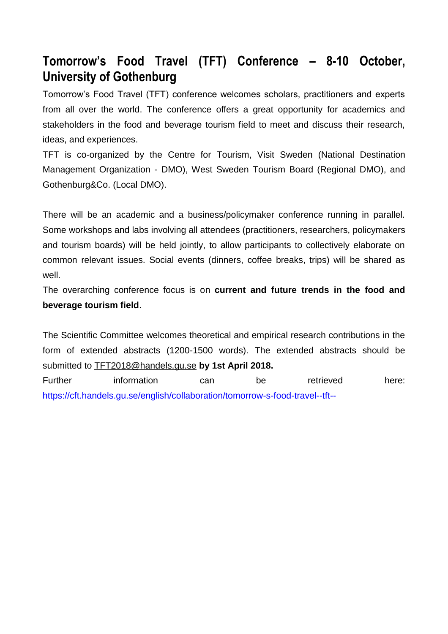#### **Tomorrow's Food Travel (TFT) Conference – 8-10 October, University of Gothenburg**

Tomorrow's Food Travel (TFT) conference welcomes scholars, practitioners and experts from all over the world. The conference offers a great opportunity for academics and stakeholders in the food and beverage tourism field to meet and discuss their research, ideas, and experiences.

TFT is co-organized by the Centre for Tourism, Visit Sweden (National Destination Management Organization - DMO), West Sweden Tourism Board (Regional DMO), and Gothenburg&Co. (Local DMO).

There will be an academic and a business/policymaker conference running in parallel. Some workshops and labs involving all attendees (practitioners, researchers, policymakers and tourism boards) will be held jointly, to allow participants to collectively elaborate on common relevant issues. Social events (dinners, coffee breaks, trips) will be shared as well.

The overarching conference focus is on **current and future trends in the food and beverage tourism field**.

The Scientific Committee welcomes theoretical and empirical research contributions in the form of extended abstracts (1200-1500 words). The extended abstracts should be submitted to [TFT2018@handels.gu.se](mailto:TFT2018@handels.gu.se) **by 1st April 2018.**

Further information can be retrieved here: <https://cft.handels.gu.se/english/collaboration/tomorrow-s-food-travel--tft-->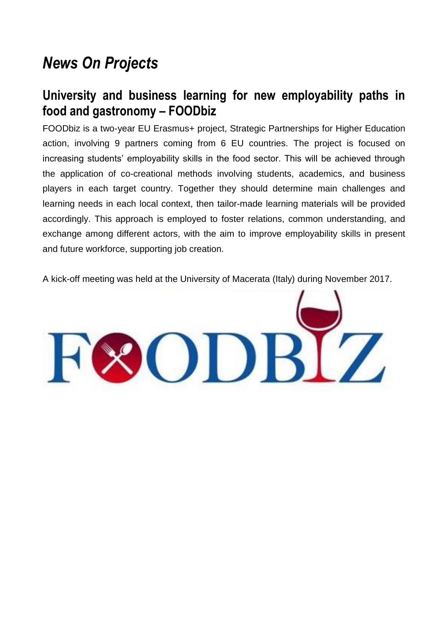# *News On Projects*

#### **University and business learning for new employability paths in food and gastronomy – FOODbiz**

FOODbiz is a two-year EU Erasmus+ project, Strategic Partnerships for Higher Education action, involving 9 partners coming from 6 EU countries. The project is focused on increasing students' employability skills in the food sector. This will be achieved through the application of co-creational methods involving students, academics, and business players in each target country. Together they should determine main challenges and learning needs in each local context, then tailor-made learning materials will be provided accordingly. This approach is employed to foster relations, common understanding, and exchange among different actors, with the aim to improve employability skills in present and future workforce, supporting job creation.

A kick-off meeting was held at the University of Macerata (Italy) during November 2017.

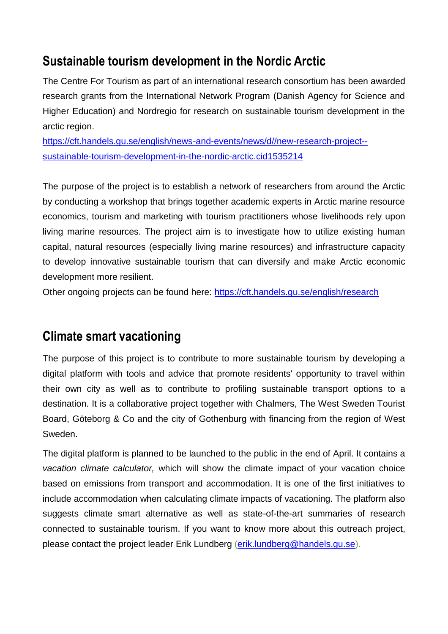#### **Sustainable tourism development in the Nordic Arctic**

The Centre For Tourism as part of an international research consortium has been awarded research grants from the International Network Program (Danish Agency for Science and Higher Education) and Nordregio for research on sustainable tourism development in the arctic region.

[https://cft.handels.gu.se/english/news-and-events/news/d//new-research-project-](https://cft.handels.gu.se/english/news-and-events/news/d/new-research-project--sustainable-tourism-development-in-the-nordic-arctic.cid1535214) [sustainable-tourism-development-in-the-nordic-arctic.cid1535214](https://cft.handels.gu.se/english/news-and-events/news/d/new-research-project--sustainable-tourism-development-in-the-nordic-arctic.cid1535214)

The purpose of the project is to establish a network of researchers from around the Arctic by conducting a workshop that brings together academic experts in Arctic marine resource economics, tourism and marketing with tourism practitioners whose livelihoods rely upon living marine resources. The project aim is to investigate how to utilize existing human capital, natural resources (especially living marine resources) and infrastructure capacity to develop innovative sustainable tourism that can diversify and make Arctic economic development more resilient.

Other ongoing projects can be found here:<https://cft.handels.gu.se/english/research>

#### **Climate smart vacationing**

The purpose of this project is to contribute to more sustainable tourism by developing a digital platform with tools and advice that promote residents' opportunity to travel within their own city as well as to contribute to profiling sustainable transport options to a destination. It is a collaborative project together with Chalmers, The West Sweden Tourist Board, Göteborg & Co and the city of Gothenburg with financing from the region of West Sweden.

The digital platform is planned to be launched to the public in the end of April. It contains a *vacation climate calculator,* which will show the climate impact of your vacation choice based on emissions from transport and accommodation. It is one of the first initiatives to include accommodation when calculating climate impacts of vacationing. The platform also suggests climate smart alternative as well as state-of-the-art summaries of research connected to sustainable tourism. If you want to know more about this outreach project, please contact the project leader Erik Lundberg [\(erik.lundberg@handels.gu.se\)](mailto:erik.lundberg@handels.gu.se).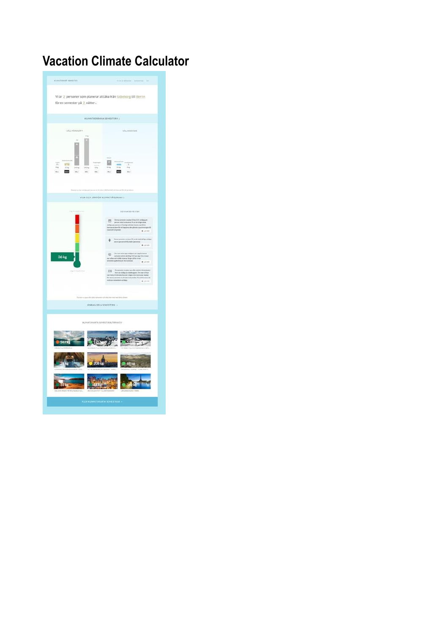## **Vacation Climate Calculator**

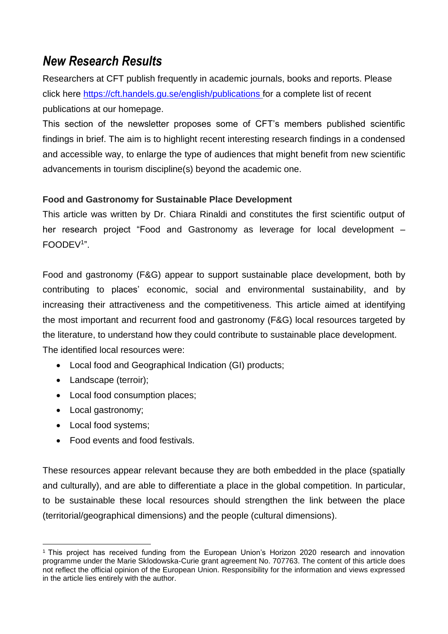#### *New Research Results*

Researchers at CFT publish frequently in academic journals, books and reports. Please click here <https://cft.handels.gu.se/english/publications> for a complete list of recent publications at our homepage.

This section of the newsletter proposes some of CFT's members published scientific findings in brief. The aim is to highlight recent interesting research findings in a condensed and accessible way, to enlarge the type of audiences that might benefit from new scientific advancements in tourism discipline(s) beyond the academic one.

#### **Food and Gastronomy for Sustainable Place Development**

This article was written by Dr. Chiara Rinaldi and constitutes the first scientific output of her research project "Food and Gastronomy as leverage for local development – FOODEV<sup>1</sup> ".

Food and gastronomy (F&G) appear to support sustainable place development, both by contributing to places' economic, social and environmental sustainability, and by increasing their attractiveness and the competitiveness. This article aimed at identifying the most important and recurrent food and gastronomy (F&G) local resources targeted by the literature, to understand how they could contribute to sustainable place development. The identified local resources were:

- Local food and Geographical Indication (GI) products;
- Landscape (terroir);
- Local food consumption places;
- Local gastronomy;
- Local food systems;
- Food events and food festivals.

These resources appear relevant because they are both embedded in the place (spatially and culturally), and are able to differentiate a place in the global competition. In particular, to be sustainable these local resources should strengthen the link between the place (territorial/geographical dimensions) and the people (cultural dimensions).

 $\overline{a}$ <sup>1</sup> This project has received funding from the European Union's Horizon 2020 research and innovation programme under the Marie Sklodowska-Curie grant agreement No. 707763. The content of this article does not reflect the official opinion of the European Union. Responsibility for the information and views expressed in the article lies entirely with the author.